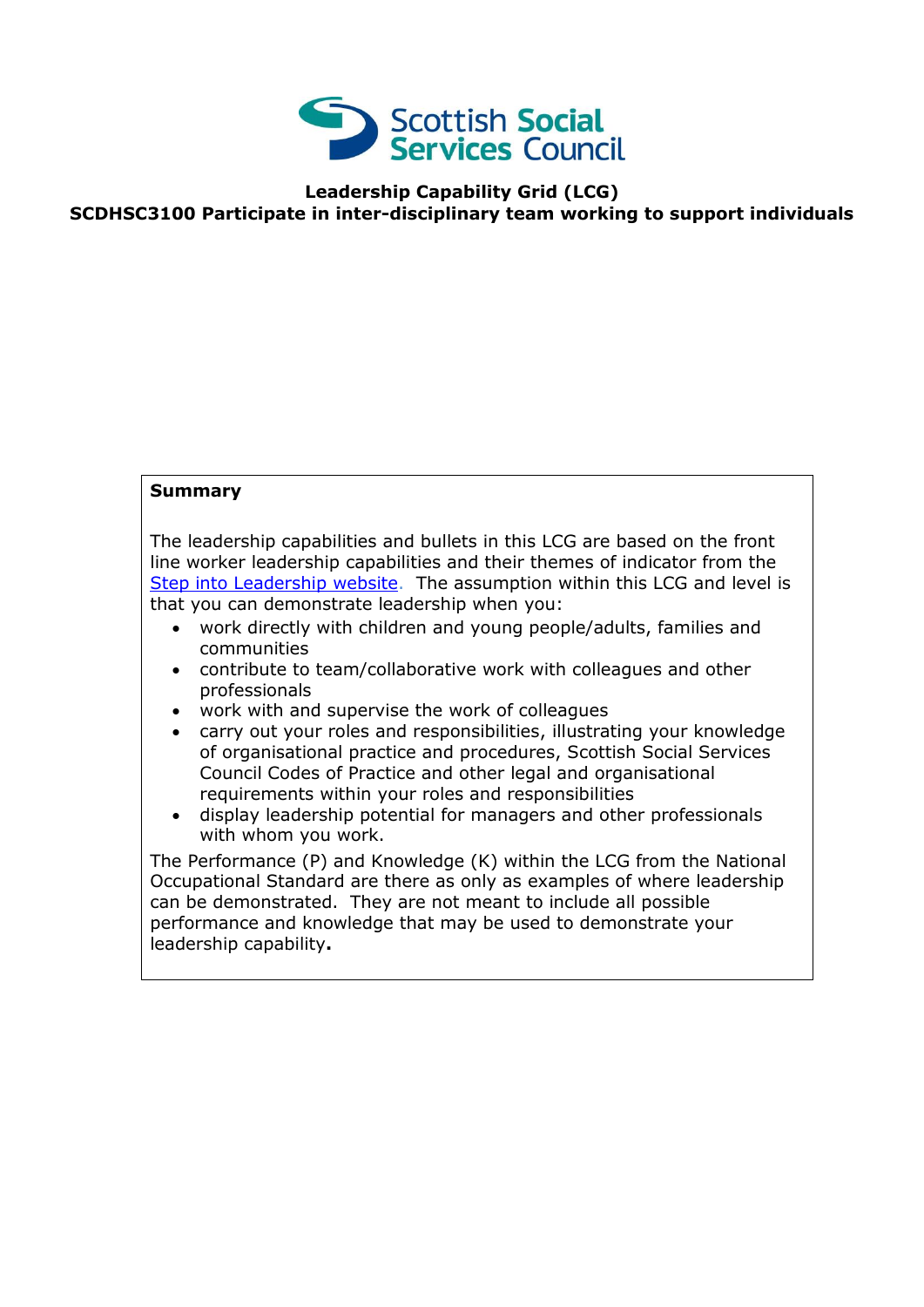

## **Leadership Capability Grid (LCG) SCDHSC3100 Participate in inter-disciplinary team working to support individuals**

## **Summary**

The leadership capabilities and bullets in this LCG are based on the front line worker leadership capabilities and their themes of indicator from the [Step into Leadership website.](http://www.stepintoleadership.info/) The assumption within this LCG and level is that you can demonstrate leadership when you:

- work directly with children and young people/adults, families and communities
- contribute to team/collaborative work with colleagues and other professionals
- work with and supervise the work of colleagues
- carry out your roles and responsibilities, illustrating your knowledge of organisational practice and procedures, Scottish Social Services Council Codes of Practice and other legal and organisational requirements within your roles and responsibilities
- display leadership potential for managers and other professionals with whom you work.

The Performance (P) and Knowledge (K) within the LCG from the National Occupational Standard are there as only as examples of where leadership can be demonstrated. They are not meant to include all possible performance and knowledge that may be used to demonstrate your leadership capability**.**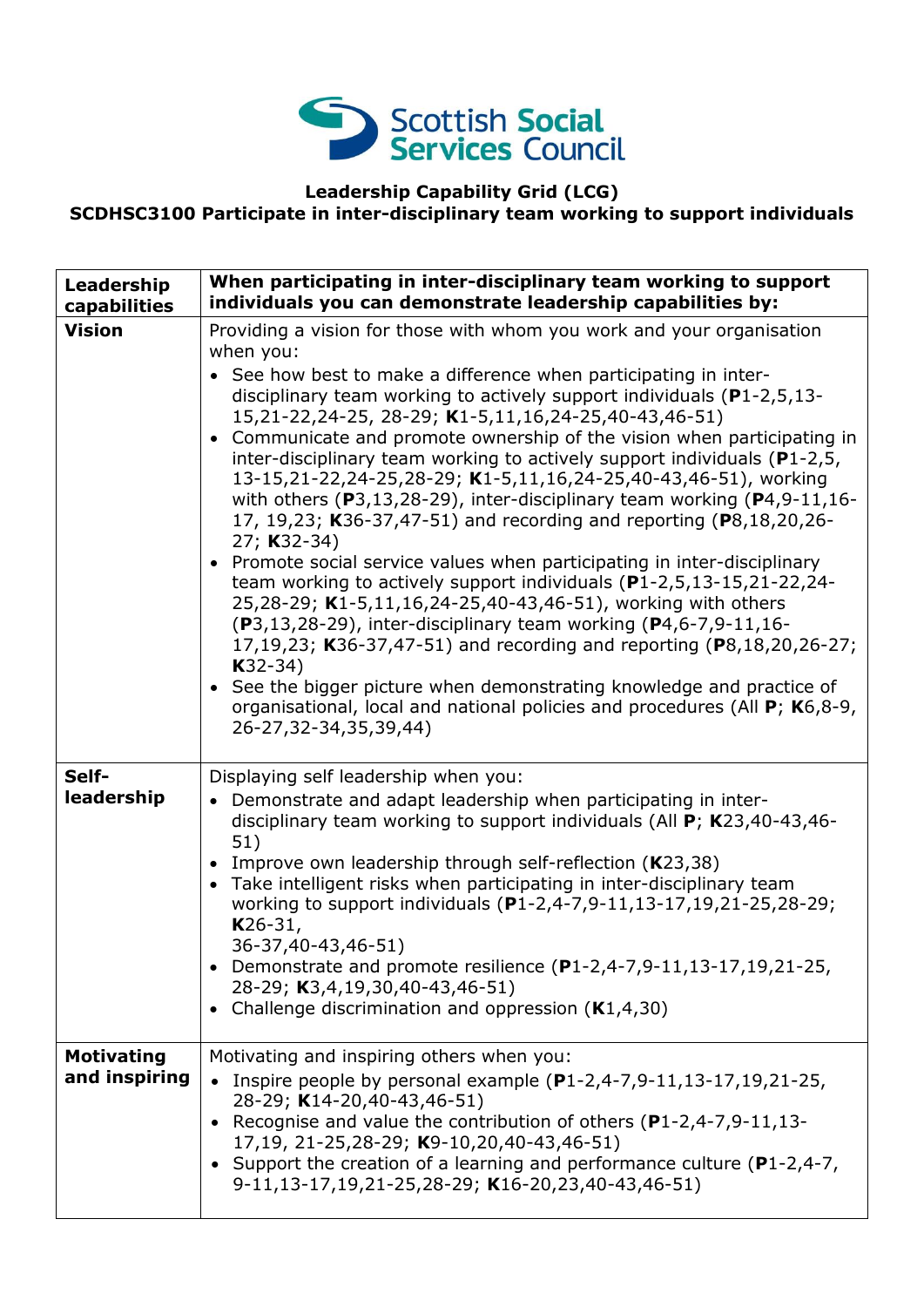

## **Leadership Capability Grid (LCG)**

**SCDHSC3100 Participate in inter-disciplinary team working to support individuals**

| Leadership<br>capabilities         | When participating in inter-disciplinary team working to support<br>individuals you can demonstrate leadership capabilities by:                                                                                                                                                                                                                                                                                                                                                                                                                                                                                                                                                                                                                                                                                                                                                                                                                                                                                                                                                                                                                                                                                                                                                   |
|------------------------------------|-----------------------------------------------------------------------------------------------------------------------------------------------------------------------------------------------------------------------------------------------------------------------------------------------------------------------------------------------------------------------------------------------------------------------------------------------------------------------------------------------------------------------------------------------------------------------------------------------------------------------------------------------------------------------------------------------------------------------------------------------------------------------------------------------------------------------------------------------------------------------------------------------------------------------------------------------------------------------------------------------------------------------------------------------------------------------------------------------------------------------------------------------------------------------------------------------------------------------------------------------------------------------------------|
| <b>Vision</b>                      | Providing a vision for those with whom you work and your organisation<br>when you:<br>See how best to make a difference when participating in inter-<br>disciplinary team working to actively support individuals ( $P1-2,5,13-$<br>15,21-22,24-25, 28-29; K1-5,11,16,24-25,40-43,46-51)<br>Communicate and promote ownership of the vision when participating in<br>$\bullet$<br>inter-disciplinary team working to actively support individuals ( $P1-2,5$ ,<br>13-15,21-22,24-25,28-29; K1-5,11,16,24-25,40-43,46-51), working<br>with others ( $P3, 13, 28-29$ ), inter-disciplinary team working ( $P4, 9-11, 16-$<br>17, 19,23; K36-37,47-51) and recording and reporting (P8,18,20,26-<br>27; K32-34)<br>Promote social service values when participating in inter-disciplinary<br>team working to actively support individuals (P1-2,5,13-15,21-22,24-<br>25,28-29; K1-5,11,16,24-25,40-43,46-51), working with others<br>(P3,13,28-29), inter-disciplinary team working (P4,6-7,9-11,16-<br>17,19,23; K36-37,47-51) and recording and reporting (P8,18,20,26-27;<br>$K32-34)$<br>See the bigger picture when demonstrating knowledge and practice of<br>$\bullet$<br>organisational, local and national policies and procedures (All P; K6,8-9,<br>26-27,32-34,35,39,44) |
| Self-<br>leadership                | Displaying self leadership when you:<br>Demonstrate and adapt leadership when participating in inter-<br>disciplinary team working to support individuals (All $P$ ; K23,40-43,46-<br>51)<br>• Improve own leadership through self-reflection (K23,38)<br>• Take intelligent risks when participating in inter-disciplinary team<br>working to support individuals (P1-2,4-7,9-11,13-17,19,21-25,28-29;<br>$K26-31,$<br>36-37,40-43,46-51)<br>• Demonstrate and promote resilience $(P1-2, 4-7, 9-11, 13-17, 19, 21-25,$<br>28-29; K3,4,19,30,40-43,46-51)<br>• Challenge discrimination and oppression $(K1, 4, 30)$                                                                                                                                                                                                                                                                                                                                                                                                                                                                                                                                                                                                                                                             |
| <b>Motivating</b><br>and inspiring | Motivating and inspiring others when you:<br>• Inspire people by personal example $(P1-2, 4-7, 9-11, 13-17, 19, 21-25,$<br>28-29; K14-20,40-43,46-51)<br>• Recognise and value the contribution of others (P1-2,4-7,9-11,13-<br>17,19, 21-25,28-29; K9-10,20,40-43,46-51)<br>• Support the creation of a learning and performance culture (P1-2,4-7,<br>9-11,13-17,19,21-25,28-29; K16-20,23,40-43,46-51)                                                                                                                                                                                                                                                                                                                                                                                                                                                                                                                                                                                                                                                                                                                                                                                                                                                                         |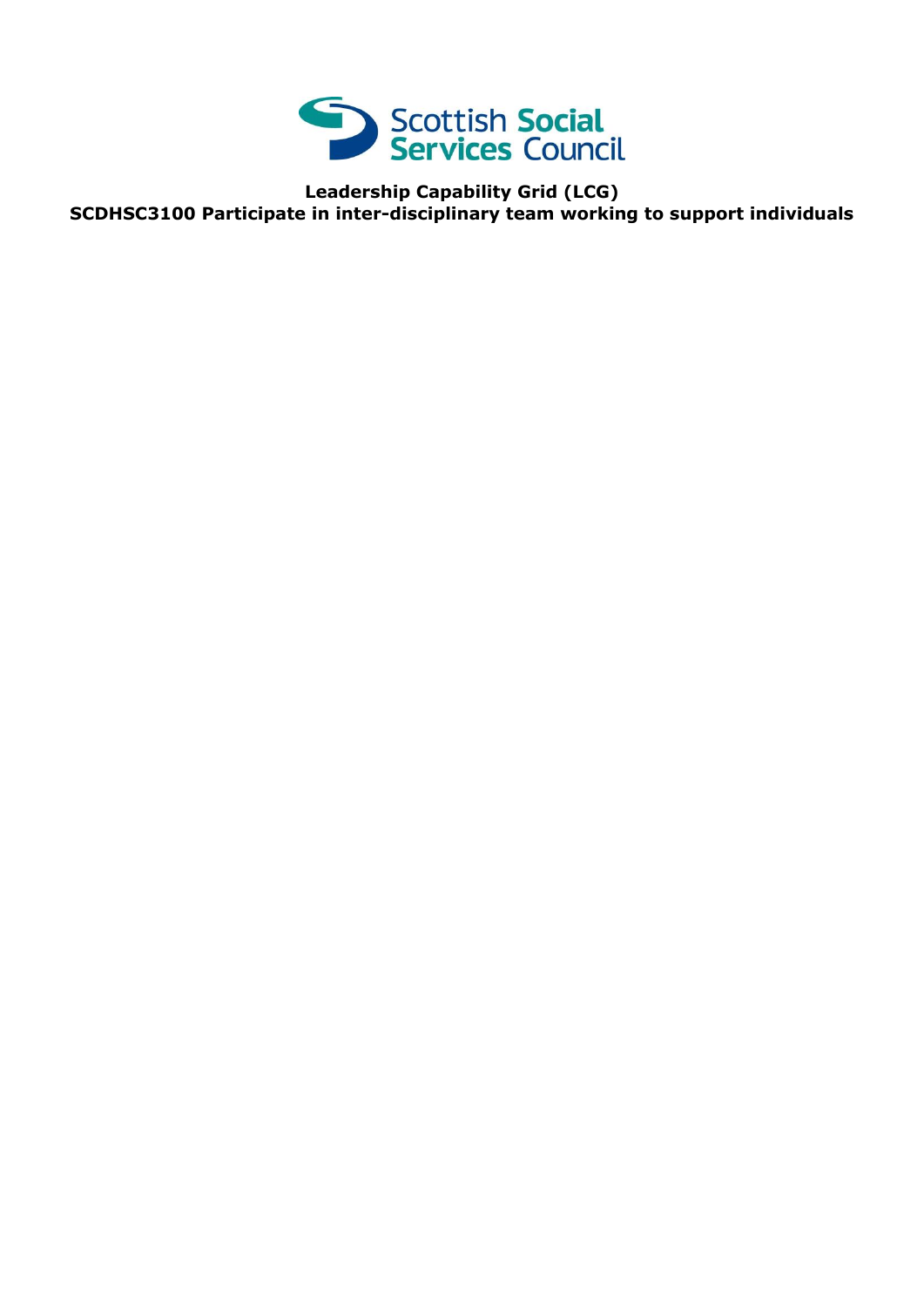

**Leadership Capability Grid (LCG) SCDHSC3100 Participate in inter-disciplinary team working to support individuals**